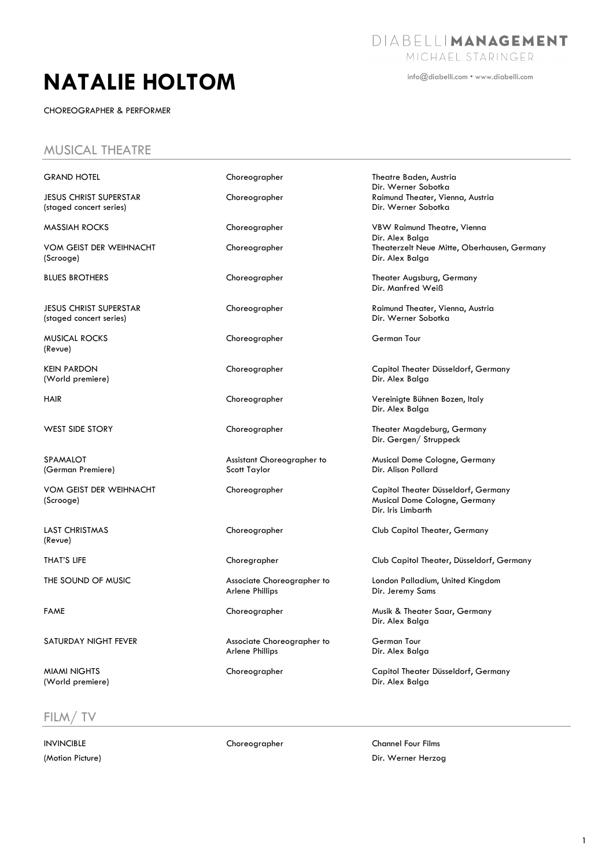# **NATALIE HOLTOM**

CHOREOGRAPHER & PERFORMER

info@diabelli.com • www.diabelli.com

#### MUSICAL THEATRE

| <b>GRAND HOTEL</b>                                       | Choreographer                                        | Theatre Baden, Austria<br>Dir. Werner Sobotka                                              |
|----------------------------------------------------------|------------------------------------------------------|--------------------------------------------------------------------------------------------|
| <b>JESUS CHRIST SUPERSTAR</b><br>(staged concert series) | Choreographer                                        | Raimund Theater, Vienna, Austria<br>Dir. Werner Sobotka                                    |
| <b>MASSIAH ROCKS</b>                                     | Choreographer                                        | VBW Raimund Theatre, Vienna<br>Dir. Alex Balga                                             |
| VOM GEIST DER WEIHNACHT<br>(Scrooge)                     | Choreographer                                        | Theaterzelt Neue Mitte, Oberhausen, Germany<br>Dir. Alex Balga                             |
| <b>BLUES BROTHERS</b>                                    | Choreographer                                        | Theater Augsburg, Germany<br>Dir. Manfred Weiß                                             |
| <b>JESUS CHRIST SUPERSTAR</b><br>(staged concert series) | Choreographer                                        | Raimund Theater, Vienna, Austria<br>Dir. Werner Sobotka                                    |
| MUSICAL ROCKS<br>(Revue)                                 | Choreographer                                        | German Tour                                                                                |
| <b>KEIN PARDON</b><br>(World premiere)                   | Choreographer                                        | Capitol Theater Düsseldorf, Germany<br>Dir. Alex Balga                                     |
| <b>HAIR</b>                                              | Choreographer                                        | Vereinigte Bühnen Bozen, Italy<br>Dir. Alex Balga                                          |
| <b>WEST SIDE STORY</b>                                   | Choreographer                                        | Theater Magdeburg, Germany<br>Dir. Gergen/ Struppeck                                       |
| SPAMALOT<br>(German Premiere)                            | Assistant Choreographer to<br>Scott Taylor           | Musical Dome Cologne, Germany<br>Dir. Alison Pollard                                       |
| VOM GEIST DER WEIHNACHT<br>(Scrooge)                     | Choreographer                                        | Capitol Theater Düsseldorf, Germany<br>Musical Dome Cologne, Germany<br>Dir. Iris Limbarth |
| <b>LAST CHRISTMAS</b><br>(Revue)                         | Choreographer                                        | Club Capitol Theater, Germany                                                              |
| THAT'S LIFE                                              | Choregrapher                                         | Club Capitol Theater, Düsseldorf, Germany                                                  |
| THE SOUND OF MUSIC                                       | Associate Choreographer to<br>Arlene Phillips        | London Palladium, United Kingdom<br>Dir. Jeremy Sams                                       |
| <b>FAME</b>                                              | Choreographer                                        | Musik & Theater Saar, Germany<br>Dir. Alex Balga                                           |
| SATURDAY NIGHT FEVER                                     | Associate Choreographer to<br><b>Arlene Phillips</b> | German Tour<br>Dir. Alex Balga                                                             |
| <b>MIAMI NIGHTS</b><br>(World premiere)                  | Choreographer                                        | Capitol Theater Düsseldorf, Germany<br>Dir. Alex Balga                                     |

#### FILM/ TV

INVINCIBLE Choreographer Channel Four Films (Motion Picture) **Example 2** (Motion Picture) **Dir. Werner Herzog**